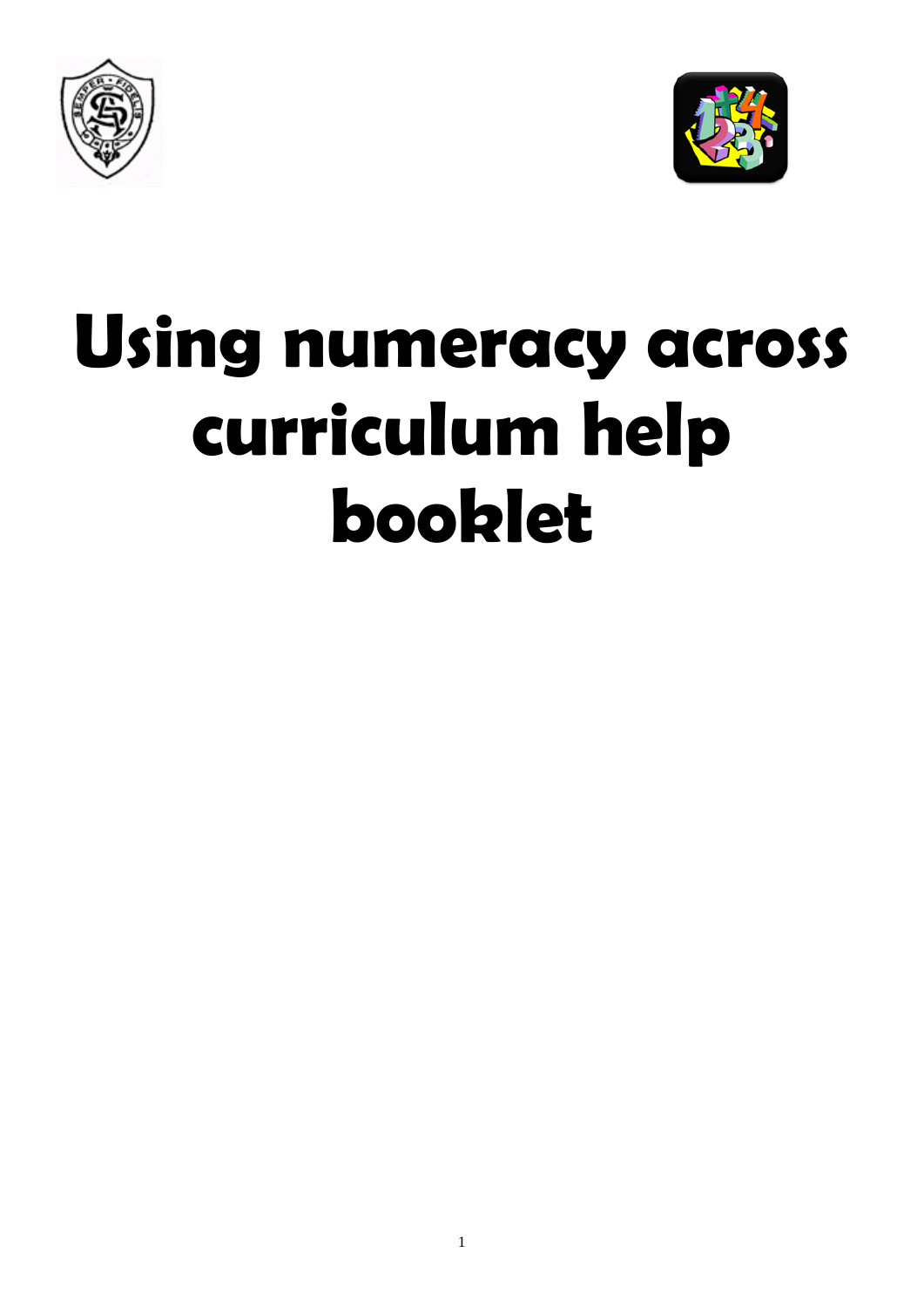



# **Using numeracy across curriculum help booklet**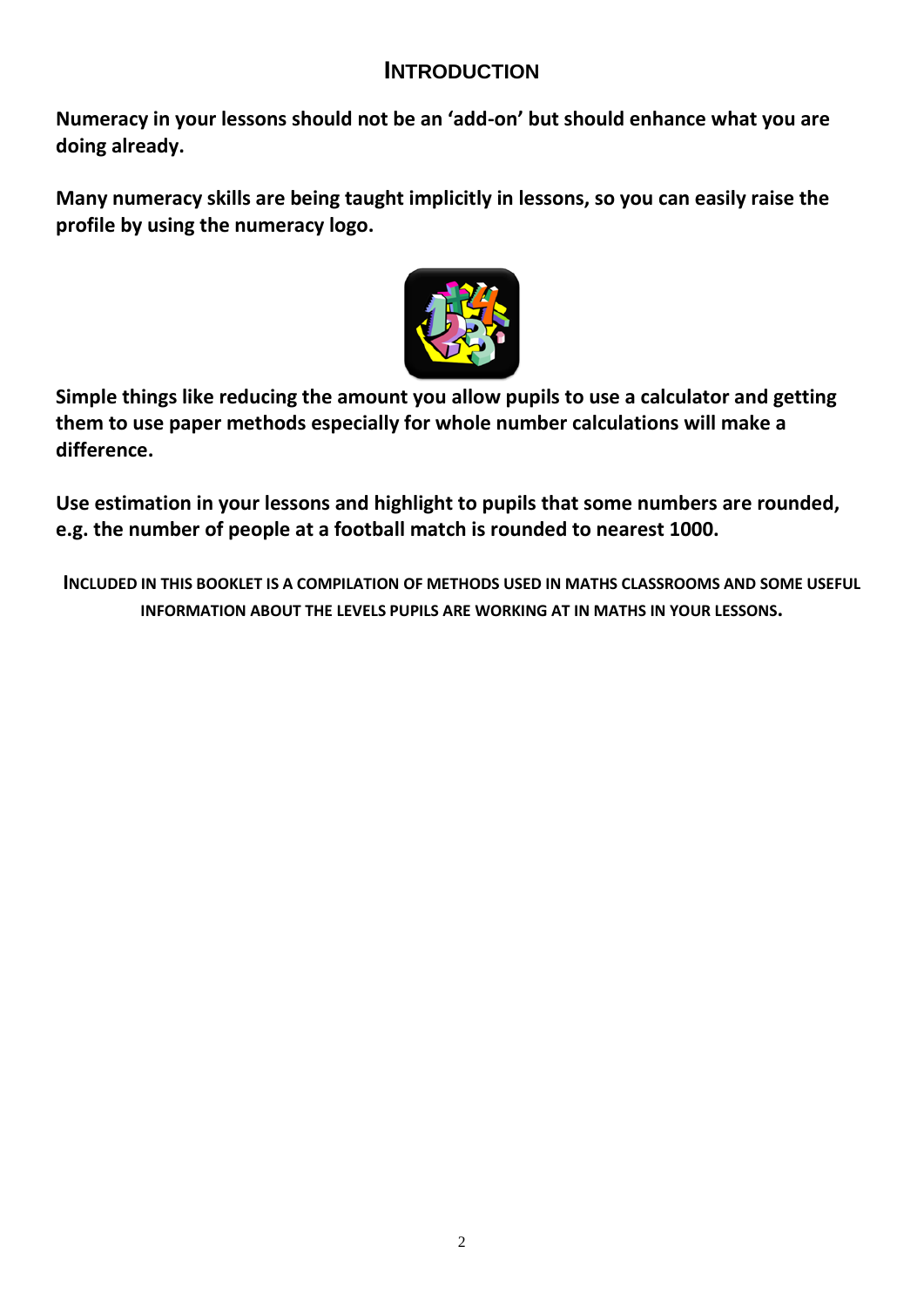# **INTRODUCTION**

**Numeracy in your lessons should not be an 'add-on' but should enhance what you are doing already.** 

**Many numeracy skills are being taught implicitly in lessons, so you can easily raise the profile by using the numeracy logo.** 



**Simple things like reducing the amount you allow pupils to use a calculator and getting them to use paper methods especially for whole number calculations will make a difference.** 

**Use estimation in your lessons and highlight to pupils that some numbers are rounded, e.g. the number of people at a football match is rounded to nearest 1000.** 

**INCLUDED IN THIS BOOKLET IS A COMPILATION OF METHODS USED IN MATHS CLASSROOMS AND SOME USEFUL INFORMATION ABOUT THE LEVELS PUPILS ARE WORKING AT IN MATHS IN YOUR LESSONS.**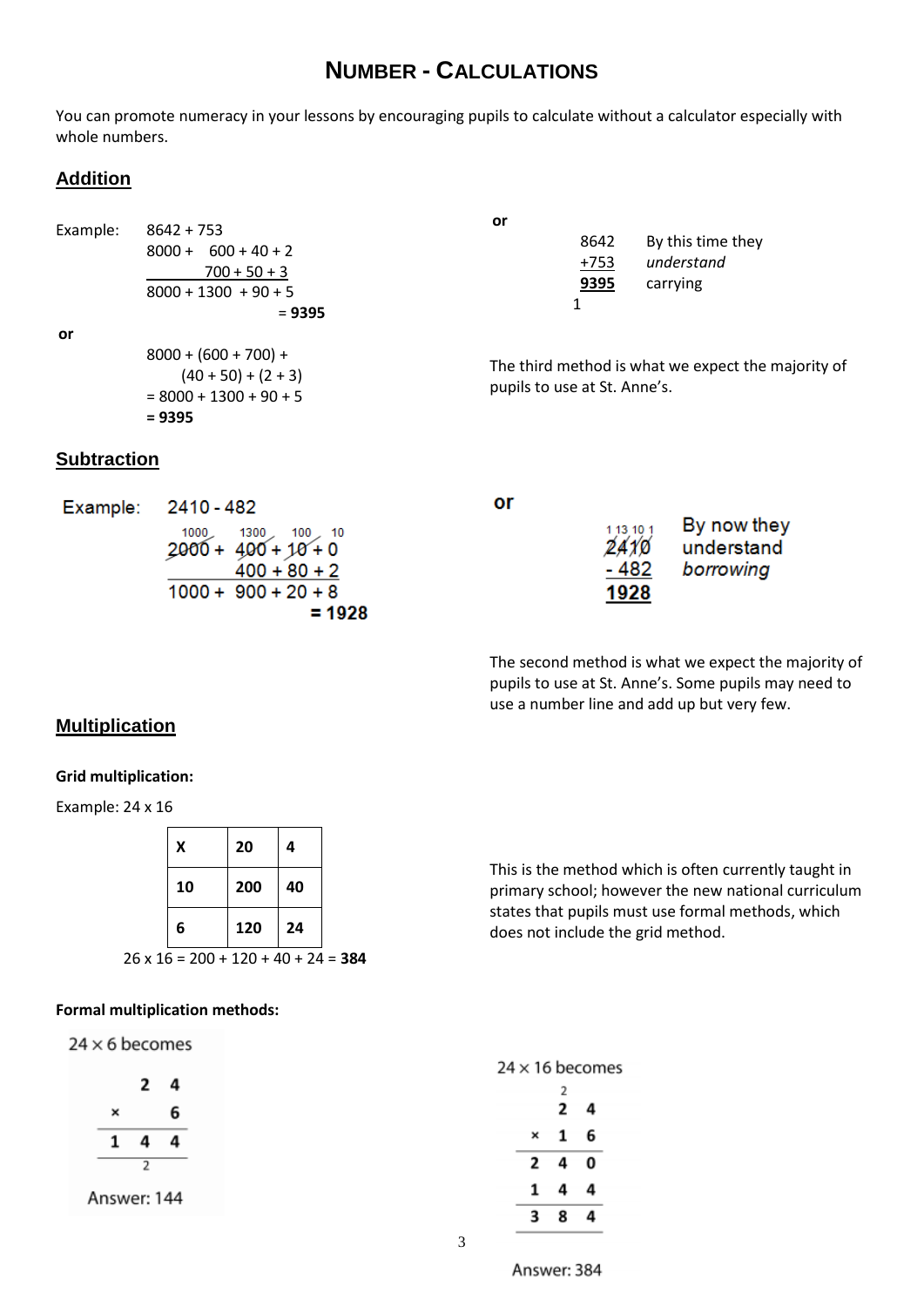# **NUMBER - CALCULATIONS**

You can promote numeracy in your lessons by encouraging pupils to calculate without a calculator especially with whole numbers.

**or**

1

pupils to use at St. Anne's.

# **Addition**

Example: 8642 + 753  $8000 + 600 + 40 + 2$  $700 + 50 + 3$  $8000 + 1300 + 90 + 5$ 

**or**

| $8000 + (600 + 700) +$   |
|--------------------------|
| $(40 + 50) + (2 + 3)$    |
| $= 8000 + 1300 + 90 + 5$ |
| $= 9395$                 |

= **9395**

# **Subtraction**

| Example: 2410 - 482                                                                                      | or |                                    |                                        |
|----------------------------------------------------------------------------------------------------------|----|------------------------------------|----------------------------------------|
| $1000$ $1300$ $100$ $10$<br>$2000 + 400 + 10 + 0$<br>$400 + 80 + 2$<br>$1000 + 900 + 20 + 8$<br>$= 1928$ |    | 1 13 10 1<br>2410<br>- 482<br>1928 | By now they<br>understand<br>borrowing |

The second method is what we expect the majority of pupils to use at St. Anne's. Some pupils may need to use a number line and add up but very few.

8642 By this time they +753 *understand* **9395** carrying

The third method is what we expect the majority of

## **Multiplication**

## **Grid multiplication:**

Example: 24 x 16

| Χ  | 20  | 4  |
|----|-----|----|
| 10 | 200 | 40 |
| 6  | 120 | 24 |

26 x 16 = 200 + 120 + 40 + 24 = **384**

## **Formal multiplication methods:**

 $24 \times 6$  becomes

|             | 2 | 4 |
|-------------|---|---|
| ×           |   | 6 |
| 1           | 4 | 4 |
|             | 2 |   |
| Answer: 144 |   |   |

This is the method which is often currently taught in primary school; however the new national curriculum states that pupils must use formal methods, which does not include the grid method.

|  | $24 \times 16$ becomes |
|--|------------------------|
|  |                        |

|   | 2<br>2 | 4 |
|---|--------|---|
| × | 1      | 6 |
| 2 | 4      | 0 |
| 1 | 4      | 4 |
| 3 | 8      | 4 |

Answer: 384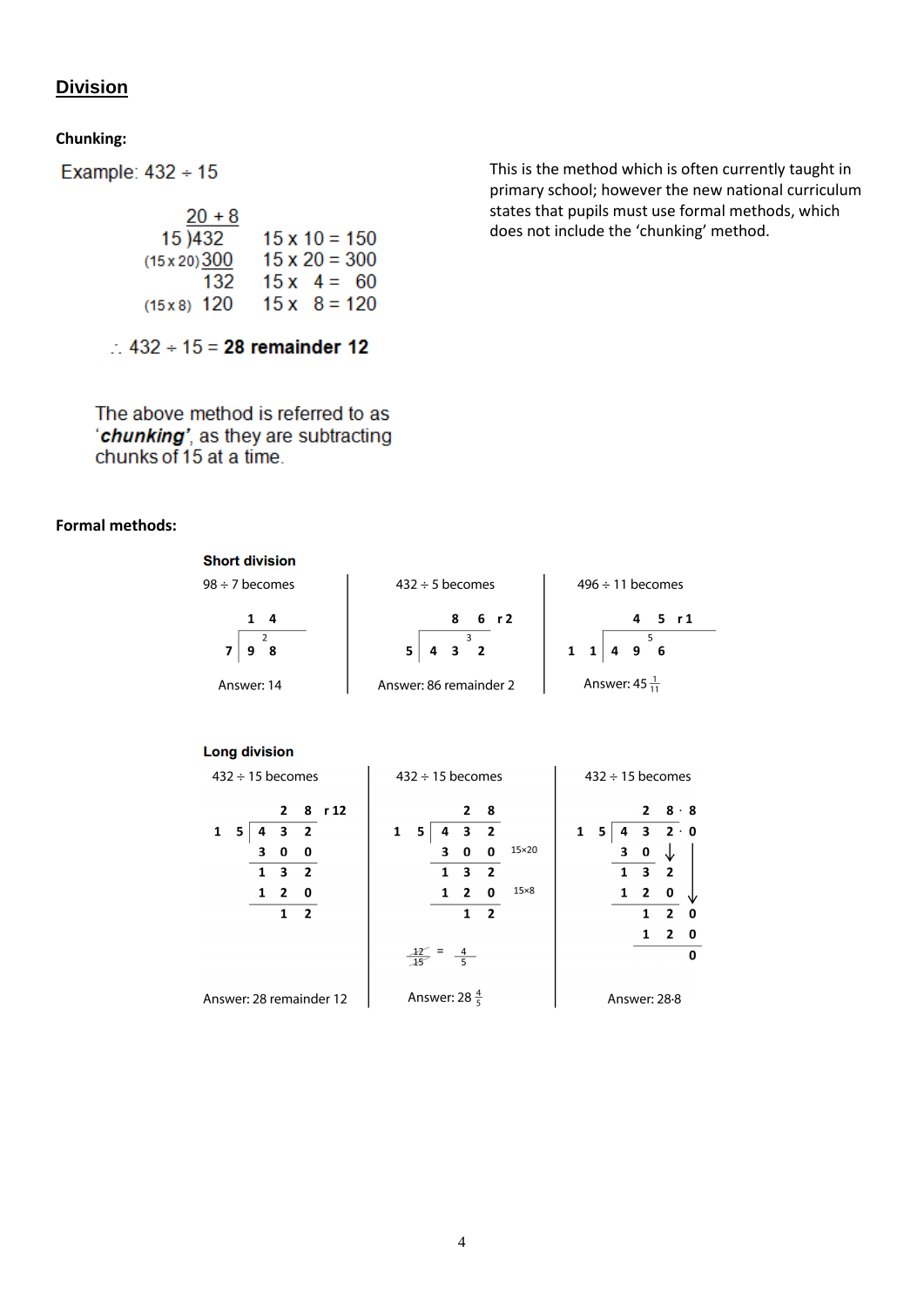# **Division**

**Chunking:**

Example:  $432 \div 15$ 

| $20 + 8$                           |                      |                     |
|------------------------------------|----------------------|---------------------|
| $15 \overline{\smash{\big)}\ 432}$ | $15 \times 10 = 150$ |                     |
| $(15 \times 20) \underline{300}$   | $15 \times 20 = 300$ |                     |
| $132$                              | $15 \times 4 = 60$   |                     |
| $(15 \times 8)$                    | $120$                | $15 \times 8 = 120$ |

 $\therefore$  432 ÷ 15 = 28 remainder 12

The above method is referred to as 'chunking', as they are subtracting chunks of 15 at a time.

#### **Formal methods:**

| <b>Short division</b> |                                                              |                           |
|-----------------------|--------------------------------------------------------------|---------------------------|
| $98 \div 7$ becomes   | $432 \div 5$ becomes                                         | $496 \div 11$ becomes     |
| 1<br>- 4              | 8<br>r 2<br>6                                                | 4<br>r 1                  |
| 8<br>9                | 5<br>$\overline{\mathbf{3}}$<br>$\overline{\mathbf{2}}$<br>4 | $\mathbf{1}$<br>9 6<br>4  |
| Answer: 14            | Answer: 86 remainder 2                                       | Answer: 45 $\frac{1}{11}$ |
| <b>Long division</b>  |                                                              |                           |

| $432 \div 15$ becomes      | $432 \div 15$ becomes     | $432 \div 15$ becomes                     |
|----------------------------|---------------------------|-------------------------------------------|
| 28r12                      | 2<br>- 8                  | $8 \cdot 8$<br>$\overline{2}$             |
| 1<br>2<br>5<br>3<br>0<br>0 | 3<br>2<br>5<br>15×20<br>o | $2 \cdot 0$<br>1<br>3<br>5<br>0<br>з<br>J |
| 1<br>3<br>$\overline{2}$   | 3<br>$\overline{2}$<br>1  | 3<br>2                                    |
| 0<br>1<br>2<br>2           | $15\times8$<br>0<br>2     | 0<br>1<br>2<br>1                          |
|                            |                           | 2<br>1<br>0                               |
|                            | $\equiv$<br>$\frac{4}{5}$ | 0                                         |
| Answer: 28 remainder 12    | Answer: 28 $\frac{4}{5}$  | Answer: 28-8                              |

This is the method which is often currently taught in primary school; however the new national curriculum states that pupils must use formal methods, which does not include the 'chunking' method.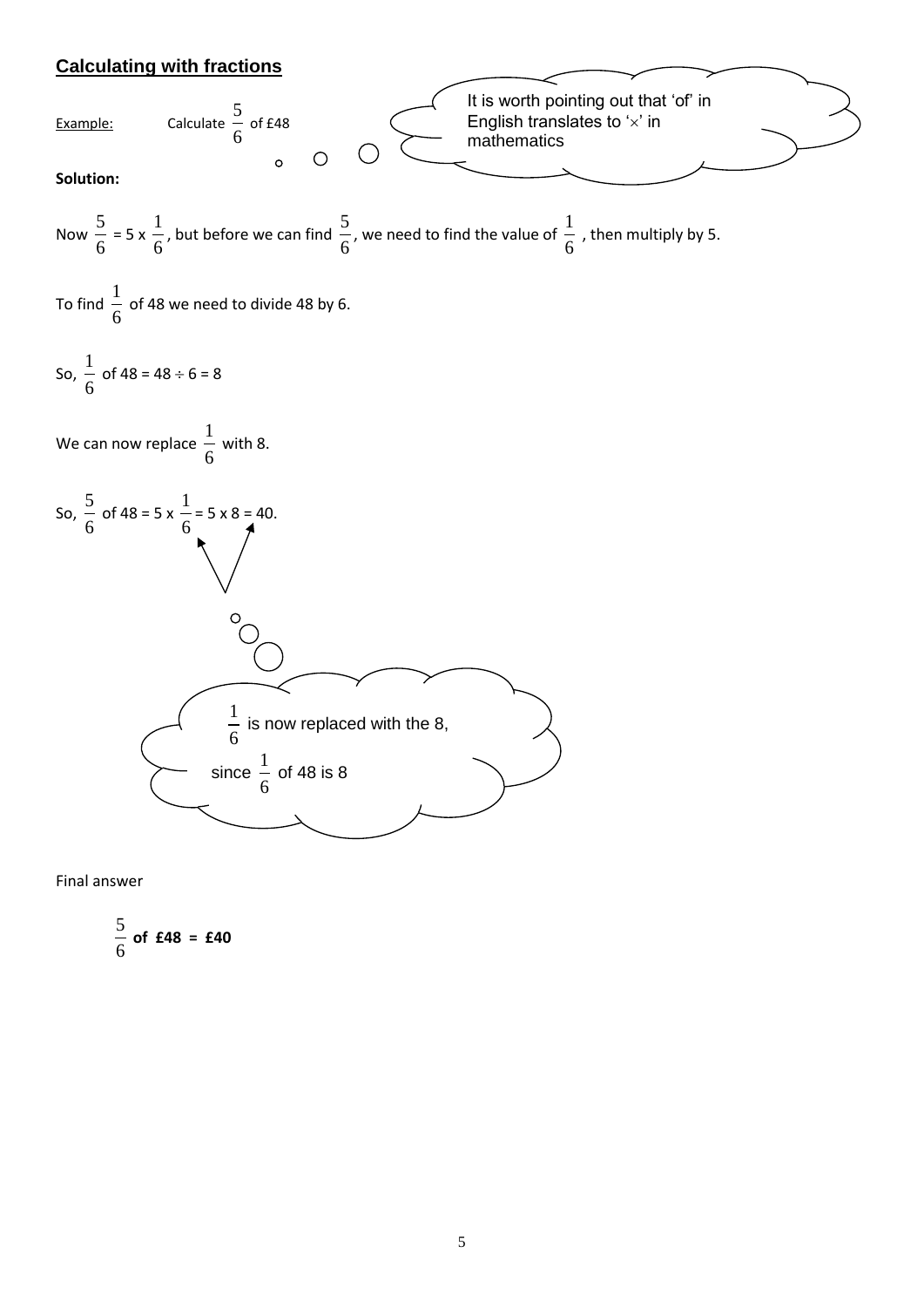# **Calculating with fractions**



Final answer

$$
\frac{5}{6}
$$
 of £48 = £40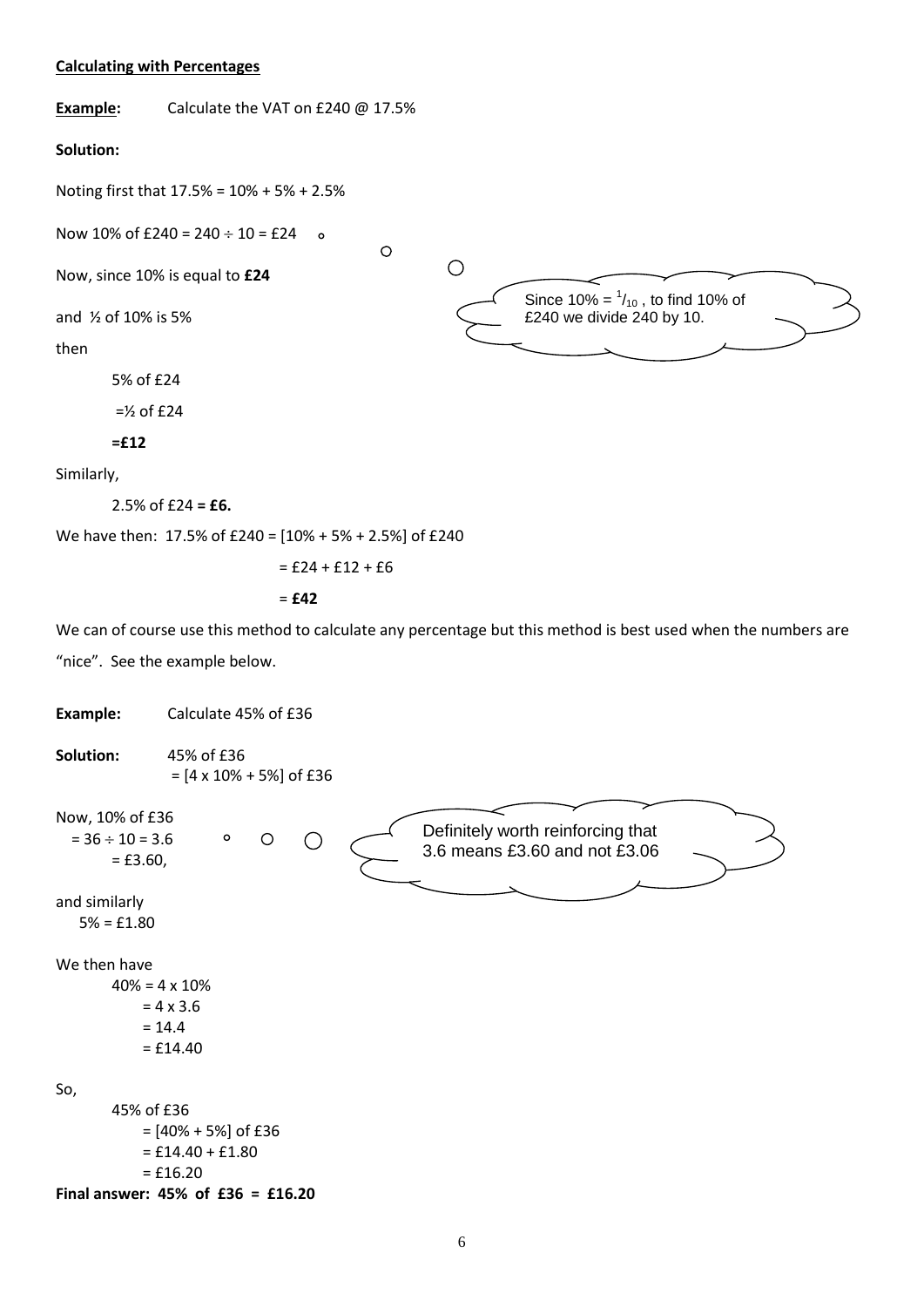#### **Calculating with Percentages**

**Example:** Calculate the VAT on £240 @ 17.5%

#### **Solution:**

Noting first that 17.5% = 10% + 5% + 2.5%

Now 10% of £240 =  $240 \div 10 =$  £24 o

Now, since 10% is equal to **£24**

and ½ of 10% is 5%

then

5% of £24

 $=$  1/<sub>2</sub> of £24

**=£12**

Similarly,

2.5% of £24 **= £6.**

We have then: 17.5% of £240 = [10% + 5% + 2.5%] of £240

$$
= \pounds 24 + \pounds 12 + \pounds 6
$$

 $\circ$ 

 $\bigcirc$ 

$$
= \pmb{\pmb{\epsilon}} \pmb{42}
$$

We can of course use this method to calculate any percentage but this method is best used when the numbers are "nice". See the example below.

Since 10% =  $\frac{1}{10}$ , to find 10% of £240 we divide 240 by 10.

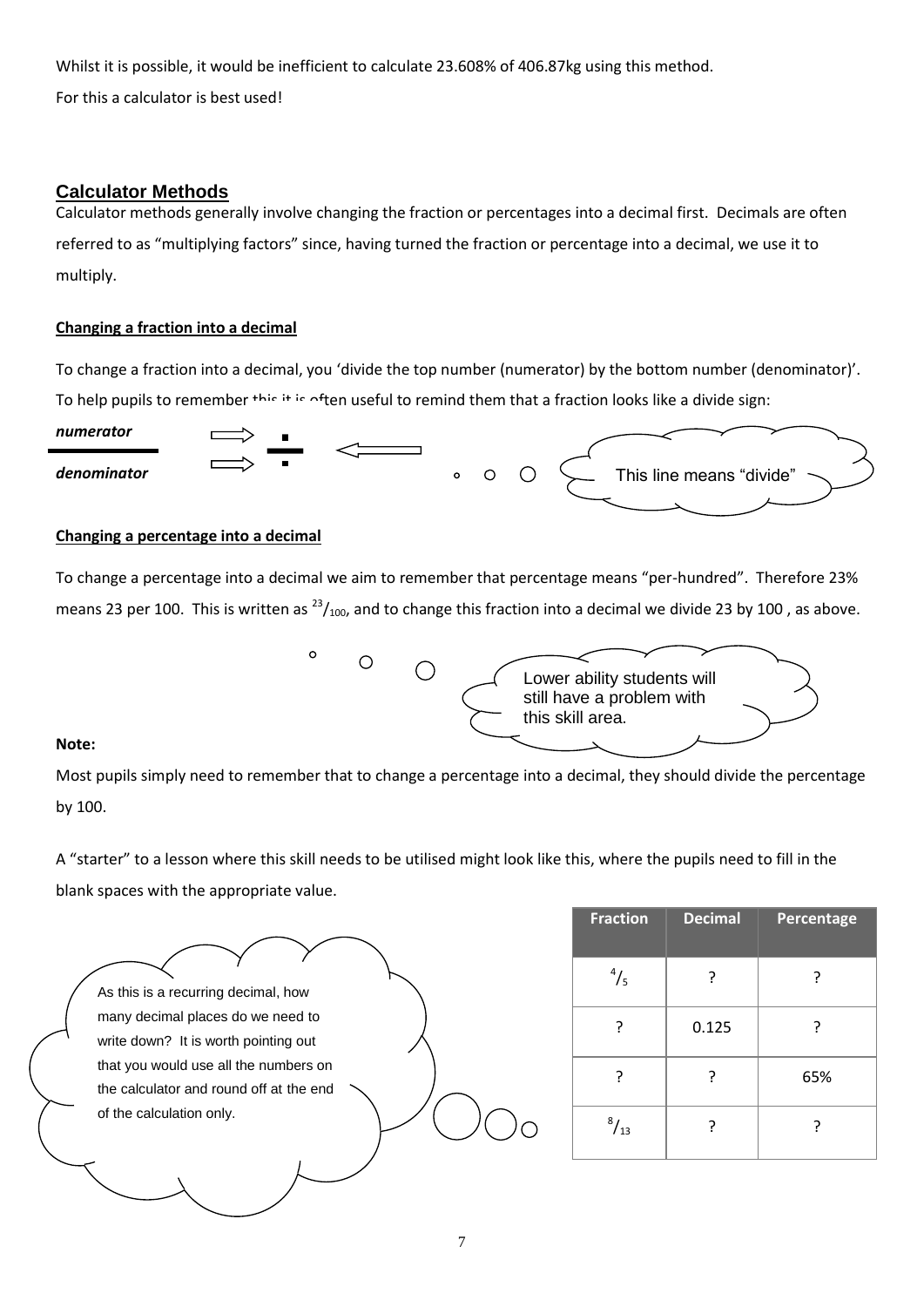Whilst it is possible, it would be inefficient to calculate 23.608% of 406.87kg using this method. For this a calculator is best used!

## **Calculator Methods**

Calculator methods generally involve changing the fraction or percentages into a decimal first. Decimals are often referred to as "multiplying factors" since, having turned the fraction or percentage into a decimal, we use it to multiply.

## **Changing a fraction into a decimal**

To change a fraction into a decimal, you 'divide the top number (numerator) by the bottom number (denominator)'. To help pupils to remember this it is often useful to remind them that a fraction looks like a divide sign:



#### **Changing a percentage into a decimal**

To change a percentage into a decimal we aim to remember that percentage means "per-hundred". Therefore 23% means 23 per 100. This is written as  $^{23}/_{100}$ , and to change this fraction into a decimal we divide 23 by 100, as above.



#### **Note:**

Most pupils simply need to remember that to change a percentage into a decimal, they should divide the percentage by 100.

A "starter" to a lesson where this skill needs to be utilised might look like this, where the pupils need to fill in the blank spaces with the appropriate value.

| As this is a recurring decimal, how     |  |
|-----------------------------------------|--|
| many decimal places do we need to       |  |
| write down? It is worth pointing out    |  |
| that you would use all the numbers on   |  |
| the calculator and round off at the end |  |
| of the calculation only.                |  |
|                                         |  |
|                                         |  |
|                                         |  |

| <b>Fraction</b> | <b>Decimal</b> | Percentage |
|-----------------|----------------|------------|
| $^{4}/_{5}$     | ?              |            |
| ?               | 0.125          | ?          |
|                 | ?              | 65%        |
| $^{8}/_{13}$    |                |            |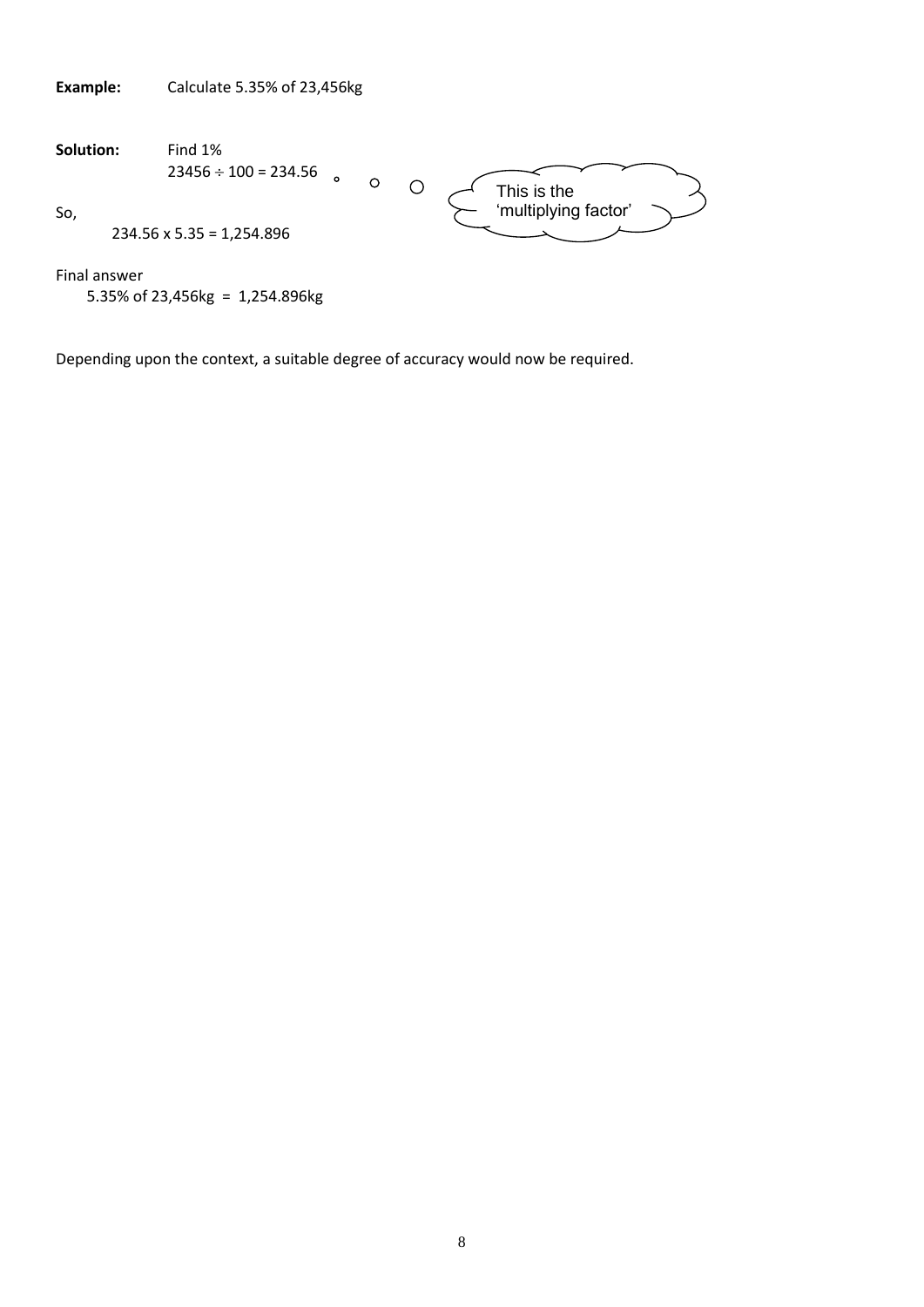| <b>Example:</b> | Calculate 5.35% of 23,456kg                                                    |
|-----------------|--------------------------------------------------------------------------------|
| Solution:       | Find 1%<br>$23456 \div 100 = 234.56$<br>$\circ$<br>$\circ$<br>Ω<br>This is the |
| So,             | 'multiplying factor'<br>$234.56 \times 5.35 = 1,254.896$                       |
| Final answer    | 5.35% of 23,456kg = $1,254.896$ kg                                             |

Depending upon the context, a suitable degree of accuracy would now be required.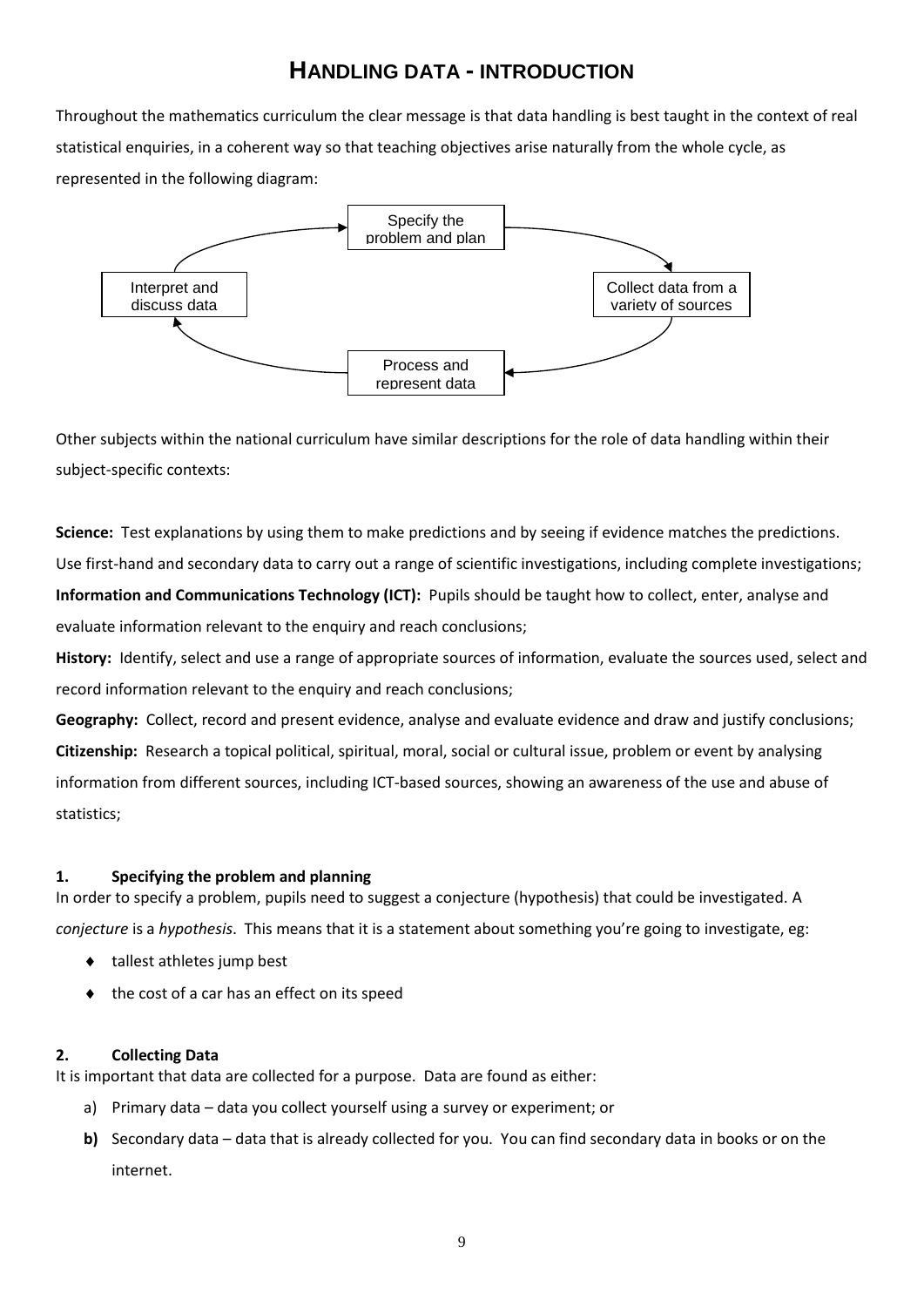# **HANDLING DATA - INTRODUCTION**

Throughout the mathematics curriculum the clear message is that data handling is best taught in the context of real statistical enquiries, in a coherent way so that teaching objectives arise naturally from the whole cycle, as represented in the following diagram:



Other subjects within the national curriculum have similar descriptions for the role of data handling within their subject-specific contexts:

**Science:** Test explanations by using them to make predictions and by seeing if evidence matches the predictions. Use first-hand and secondary data to carry out a range of scientific investigations, including complete investigations; **Information and Communications Technology (ICT):** Pupils should be taught how to collect, enter, analyse and evaluate information relevant to the enquiry and reach conclusions;

**History:** Identify, select and use a range of appropriate sources of information, evaluate the sources used, select and record information relevant to the enquiry and reach conclusions;

**Geography:** Collect, record and present evidence, analyse and evaluate evidence and draw and justify conclusions; **Citizenship:** Research a topical political, spiritual, moral, social or cultural issue, problem or event by analysing information from different sources, including ICT-based sources, showing an awareness of the use and abuse of statistics;

## **1. Specifying the problem and planning**

In order to specify a problem, pupils need to suggest a conjecture (hypothesis) that could be investigated. A *conjecture* is a *hypothesis*. This means that it is a statement about something you're going to investigate, eg:

- ◆ tallest athletes jump best
- the cost of a car has an effect on its speed

#### **2. Collecting Data**

It is important that data are collected for a purpose. Data are found as either:

- a) Primary data data you collect yourself using a survey or experiment; or
- **b)** Secondary data data that is already collected for you. You can find secondary data in books or on the internet.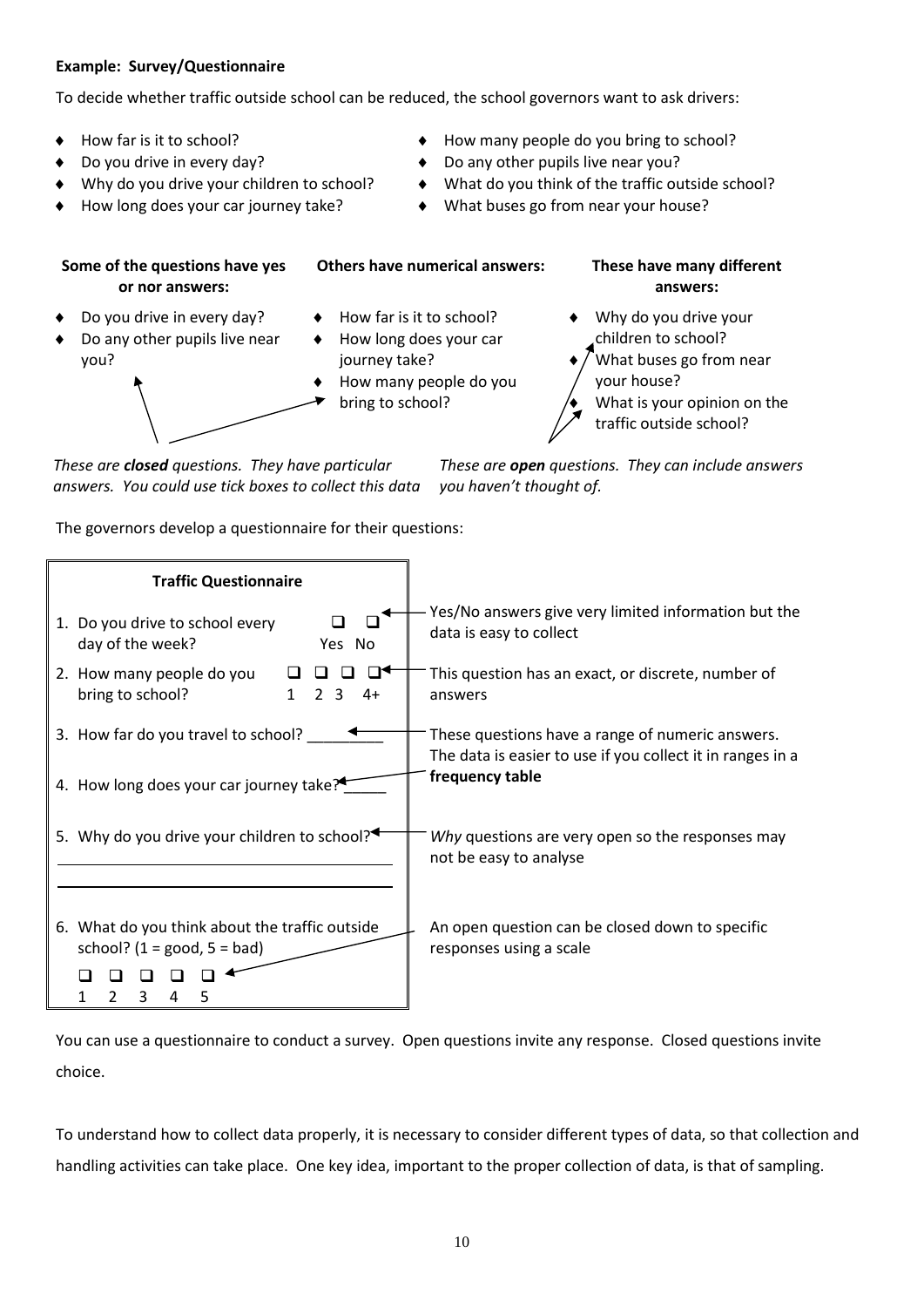#### **Example: Survey/Questionnaire**

To decide whether traffic outside school can be reduced, the school governors want to ask drivers:

- 
- 
- 
- How long does your car journey take?  $\longrightarrow$  What buses go from near your house?
- How far is it to school? **Accord 19 September 10 Figure 10** How many people do you bring to school?
- Do you drive in every day?  $\bullet$  Do any other pupils live near you?
- Why do you drive your children to school?  $\longrightarrow$  What do you think of the traffic outside school?
	-

**Some of the questions have yes or nor answers:**

- Do you drive in every day?
- Do any other pupils live near you?



- How far is it to school?
- How long does your car journey take?
- How many people do you bring to school?

**Others have numerical answers: These have many different answers:**

> Why do you drive your children to school?

 What buses go from near your house?

 What is your opinion on the traffic outside school?

*These are closed questions. They have particular answers. You could use tick boxes to collect this data*

*These are open questions. They can include answers you haven't thought of.*

The governors develop a questionnaire for their questions:



You can use a questionnaire to conduct a survey. Open questions invite any response. Closed questions invite choice.

To understand how to collect data properly, it is necessary to consider different types of data, so that collection and handling activities can take place. One key idea, important to the proper collection of data, is that of sampling.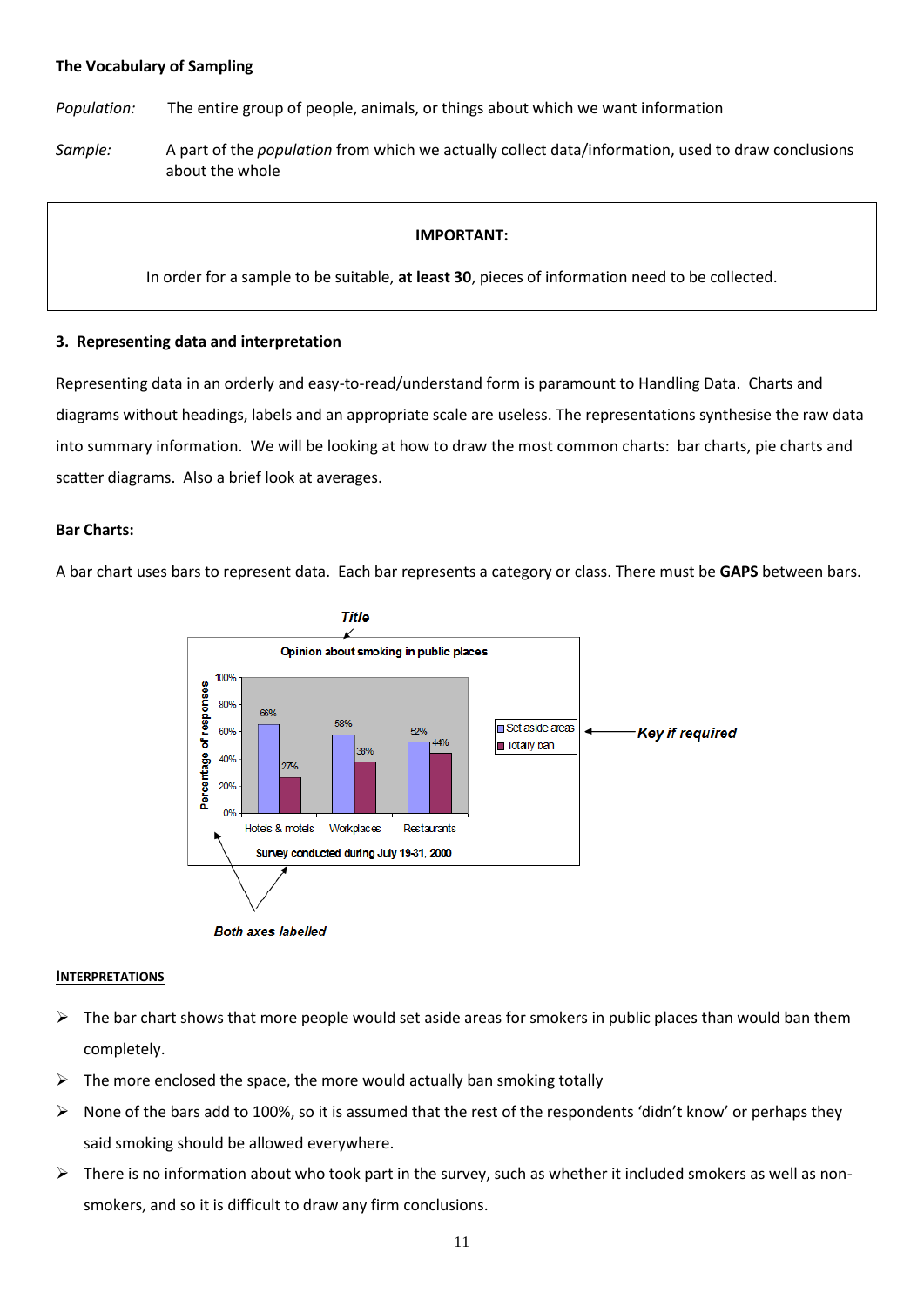#### **The Vocabulary of Sampling**

*Population:* The entire group of people, animals, or things about which we want information

*Sample:* A part of the *population* from which we actually collect data/information, used to draw conclusions about the whole

#### **IMPORTANT:**

In order for a sample to be suitable, **at least 30**, pieces of information need to be collected.

#### **3. Representing data and interpretation**

Representing data in an orderly and easy-to-read/understand form is paramount to Handling Data. Charts and diagrams without headings, labels and an appropriate scale are useless. The representations synthesise the raw data into summary information. We will be looking at how to draw the most common charts: bar charts, pie charts and scatter diagrams. Also a brief look at averages.

#### **Bar Charts:**

A bar chart uses bars to represent data. Each bar represents a category or class. There must be **GAPS** between bars.





#### **INTERPRETATIONS**

- $\triangleright$  The bar chart shows that more people would set aside areas for smokers in public places than would ban them completely.
- $\triangleright$  The more enclosed the space, the more would actually ban smoking totally
- ▶ None of the bars add to 100%, so it is assumed that the rest of the respondents 'didn't know' or perhaps they said smoking should be allowed everywhere.
- $\triangleright$  There is no information about who took part in the survey, such as whether it included smokers as well as nonsmokers, and so it is difficult to draw any firm conclusions.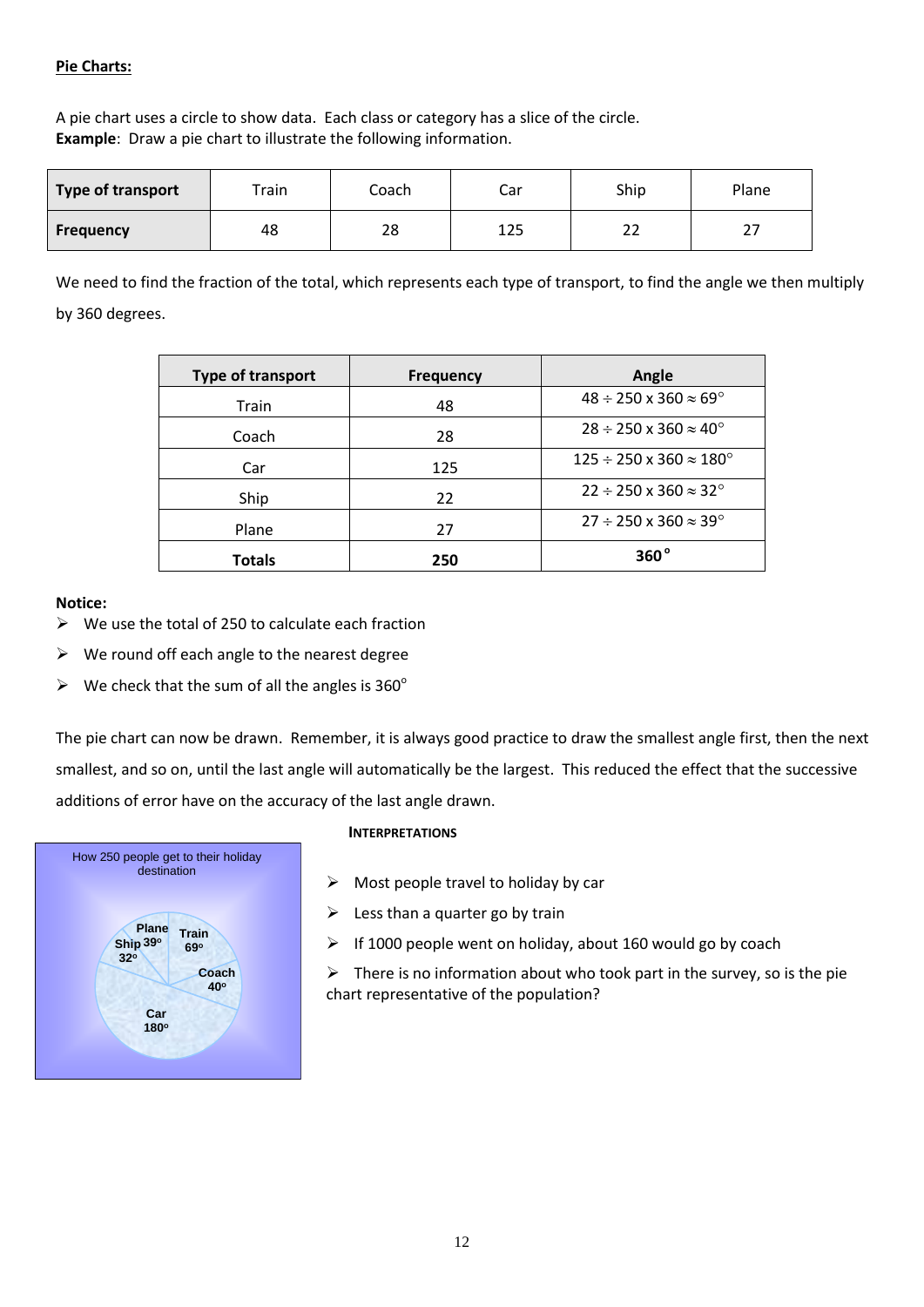#### **Pie Charts:**

A pie chart uses a circle to show data. Each class or category has a slice of the circle. **Example**: Draw a pie chart to illustrate the following information.

| Type of transport | Train | Coach | Car | Ship     | Plane |
|-------------------|-------|-------|-----|----------|-------|
| <b>Frequency</b>  | 48    | 28    | 125 | າາ<br>∠∠ | ، ے   |

We need to find the fraction of the total, which represents each type of transport, to find the angle we then multiply by 360 degrees.

| Type of transport | <b>Frequency</b> | Angle                                         |
|-------------------|------------------|-----------------------------------------------|
| Train             | 48               | $48 \div 250 \times 360 \approx 69^{\circ}$   |
| Coach             | 28               | $28 \div 250 \times 360 \approx 40^{\circ}$   |
| Car               | 125              | $125 \div 250 \times 360 \approx 180^{\circ}$ |
| Ship              | 22               | $22 \div 250 \times 360 \approx 32^{\circ}$   |
| Plane             | 27               | $27 \div 250 \times 360 \approx 39^{\circ}$   |
| <b>Totals</b>     | 250              | $360^{\circ}$                                 |

#### **Notice:**

- $\triangleright$  We use the total of 250 to calculate each fraction
- $\triangleright$  We round off each angle to the nearest degree
- $\triangleright$  We check that the sum of all the angles is 360°

The pie chart can now be drawn. Remember, it is always good practice to draw the smallest angle first, then the next smallest, and so on, until the last angle will automatically be the largest. This reduced the effect that the successive additions of error have on the accuracy of the last angle drawn.



#### **INTERPRETATIONS**

- $\triangleright$  Most people travel to holiday by car
- $\triangleright$  Less than a quarter go by train
- $\triangleright$  If 1000 people went on holiday, about 160 would go by coach

 $\triangleright$  There is no information about who took part in the survey, so is the pie chart representative of the population?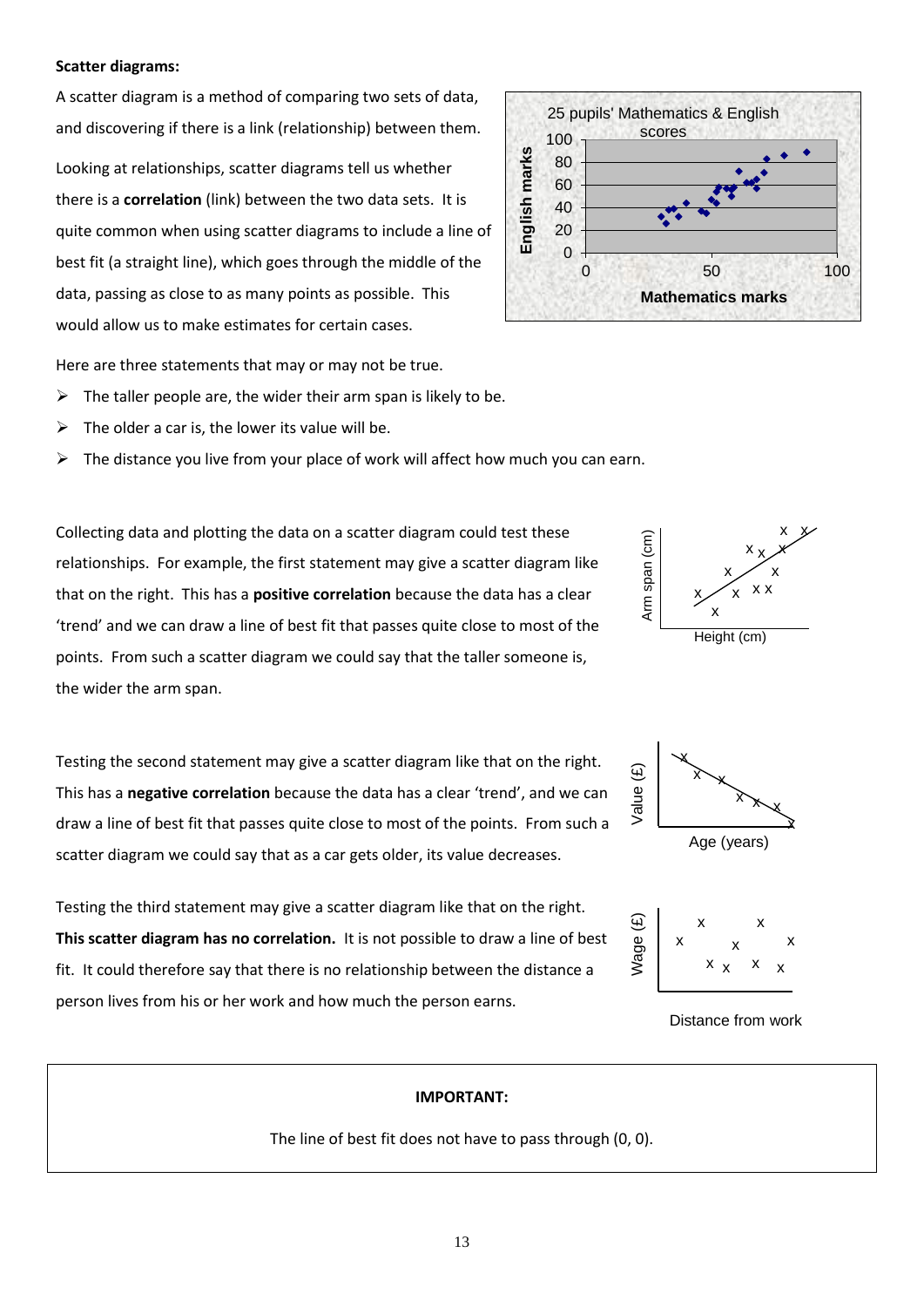#### **Scatter diagrams:**

A scatter diagram is a method of comparing two sets of data, and discovering if there is a link (relationship) between them.

Looking at relationships, scatter diagrams tell us whether there is a **correlation** (link) between the two data sets. It is quite common when using scatter diagrams to include a line of best fit (a straight line), which goes through the middle of the data, passing as close to as many points as possible. This would allow us to make estimates for certain cases.

Here are three statements that may or may not be true.

- $\triangleright$  The taller people are, the wider their arm span is likely to be.
- The older a car is, the lower its value will be.
- $\triangleright$  The distance you live from your place of work will affect how much you can earn.

Collecting data and plotting the data on a scatter diagram could test these relationships. For example, the first statement may give a scatter diagram like that on the right. This has a **positive correlation** because the data has a clear 'trend' and we can draw a line of best fit that passes quite close to most of the points. From such a scatter diagram we could say that the taller someone is, the wider the arm span.

Testing the second statement may give a scatter diagram like that on the right. This has a **negative correlation** because the data has a clear 'trend', and we can draw a line of best fit that passes quite close to most of the points. From such a scatter diagram we could say that as a car gets older, its value decreases.

Testing the third statement may give a scatter diagram like that on the right. **This scatter diagram has no correlation.** It is not possible to draw a line of best fit. It could therefore say that there is no relationship between the distance a person lives from his or her work and how much the person earns.

#### 25 pupils' Mathematics & English scores 100 English marks **English marks** 80 60 40 20 0 0 50 100 **Mathematics marks**







Distance from work

#### **IMPORTANT:**

The line of best fit does not have to pass through (0, 0).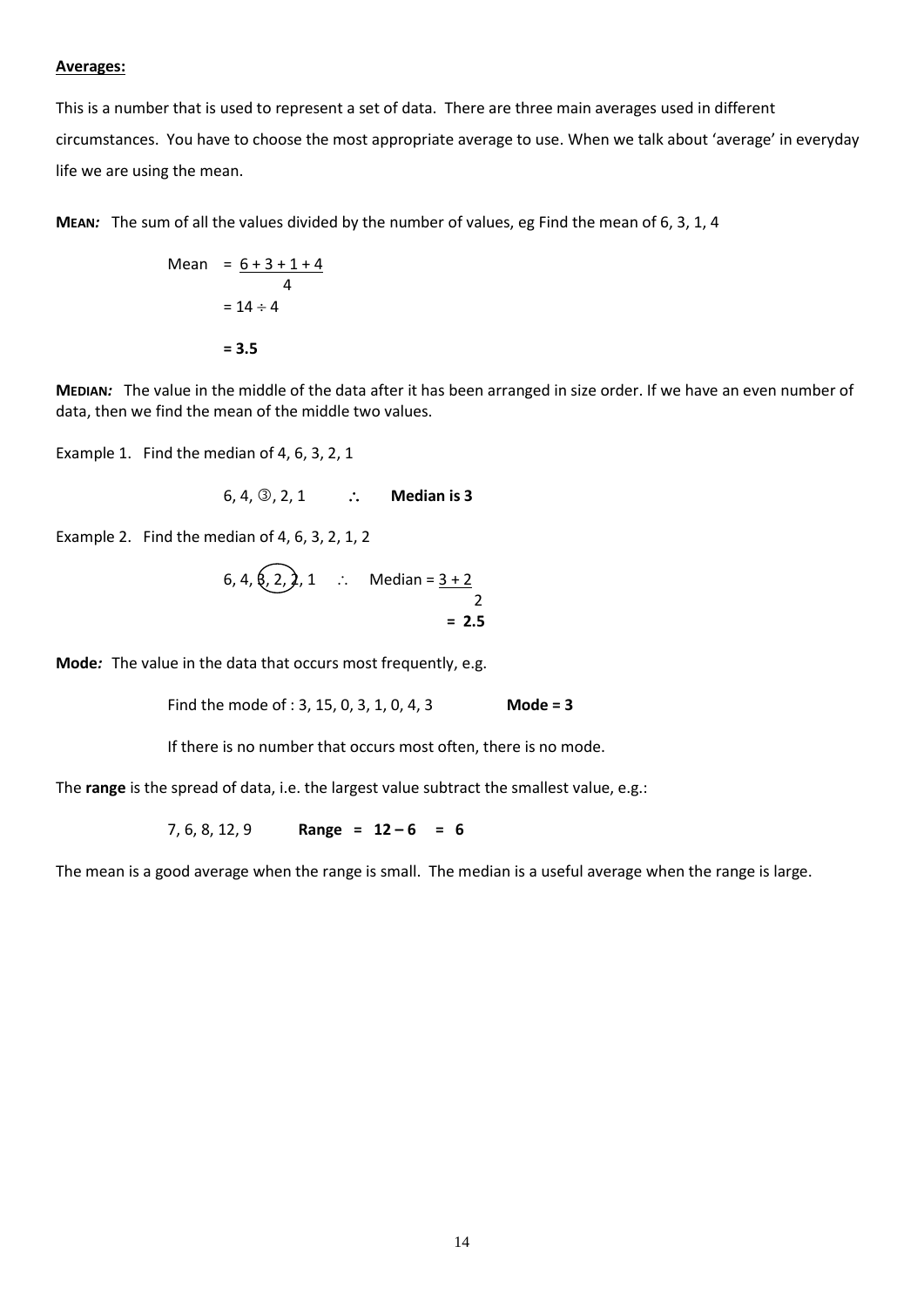#### **Averages:**

This is a number that is used to represent a set of data. There are three main averages used in different circumstances. You have to choose the most appropriate average to use. When we talk about 'average' in everyday life we are using the mean.

**MEAN***:* The sum of all the values divided by the number of values, eg Find the mean of 6, 3, 1, 4

Mean 
$$
= \frac{6+3+1+4}{4}
$$

$$
= 14 \div 4
$$

$$
= 3.5
$$

**MEDIAN***:* The value in the middle of the data after it has been arranged in size order. If we have an even number of data, then we find the mean of the middle two values.

Example 1. Find the median of 4, 6, 3, 2, 1

6, 4, 3, 2, 1 
$$
\therefore
$$
 Median is 3

Example 2. Find the median of 4, 6, 3, 2, 1, 2

6, 4, 6, 2, 2, 1 
$$
\therefore
$$
 Median =  $\frac{3+2}{2}$   
= 2.5

**Mode***:* The value in the data that occurs most frequently, e.g.

Find the mode of : 3, 15, 0, 3, 1, 0, 4, 3 **Mode = 3**

If there is no number that occurs most often, there is no mode.

The **range** is the spread of data, i.e. the largest value subtract the smallest value, e.g.:

7, 6, 8, 12, 9 **Range = 12 – 6 = 6**

The mean is a good average when the range is small. The median is a useful average when the range is large.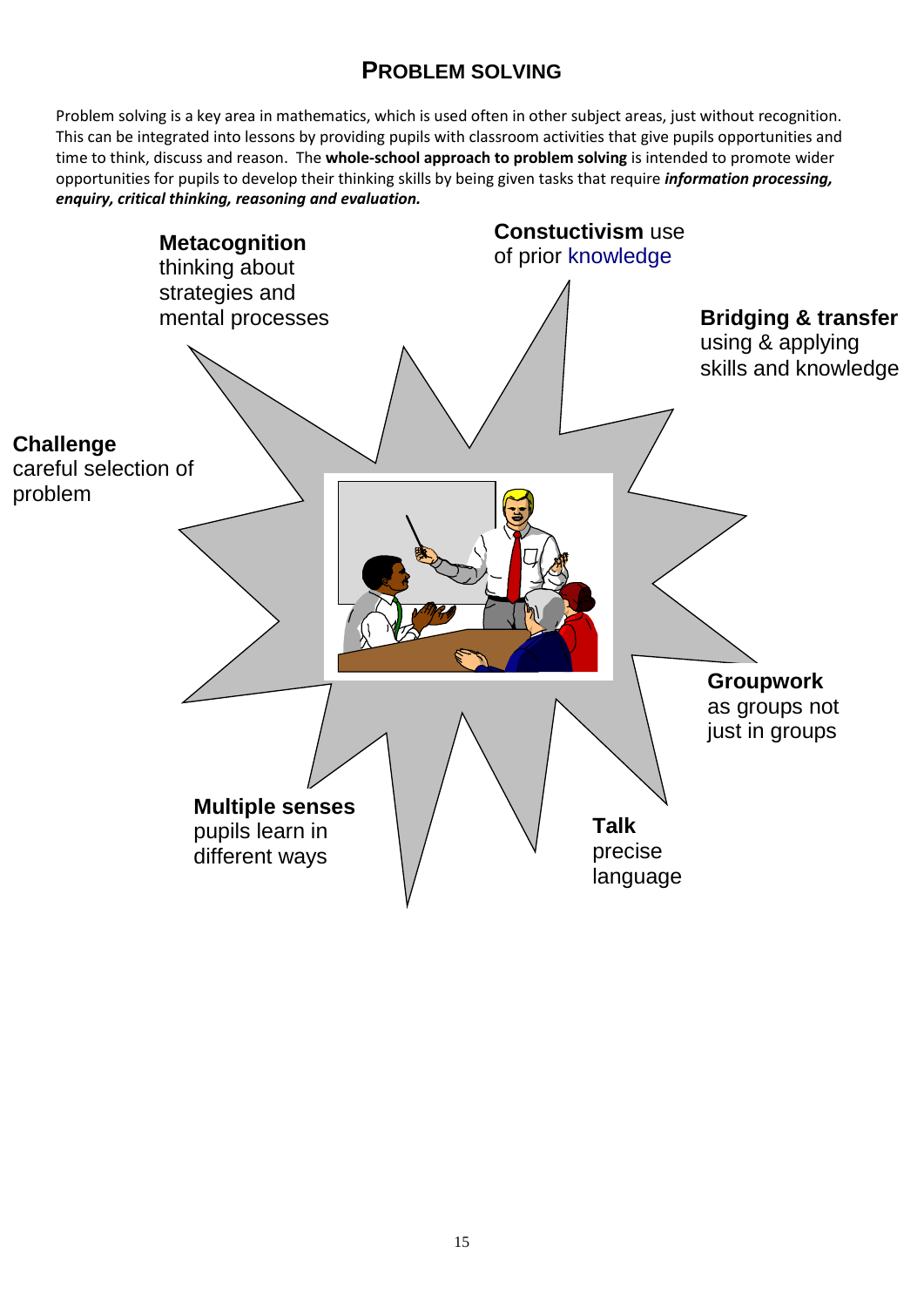# **PROBLEM SOLVING**

Problem solving is a key area in mathematics, which is used often in other subject areas, just without recognition. This can be integrated into lessons by providing pupils with classroom activities that give pupils opportunities and time to think, discuss and reason. The **whole-school approach to problem solving** is intended to promote wider opportunities for pupils to develop their thinking skills by being given tasks that require *information processing, enquiry, critical thinking, reasoning and evaluation.*

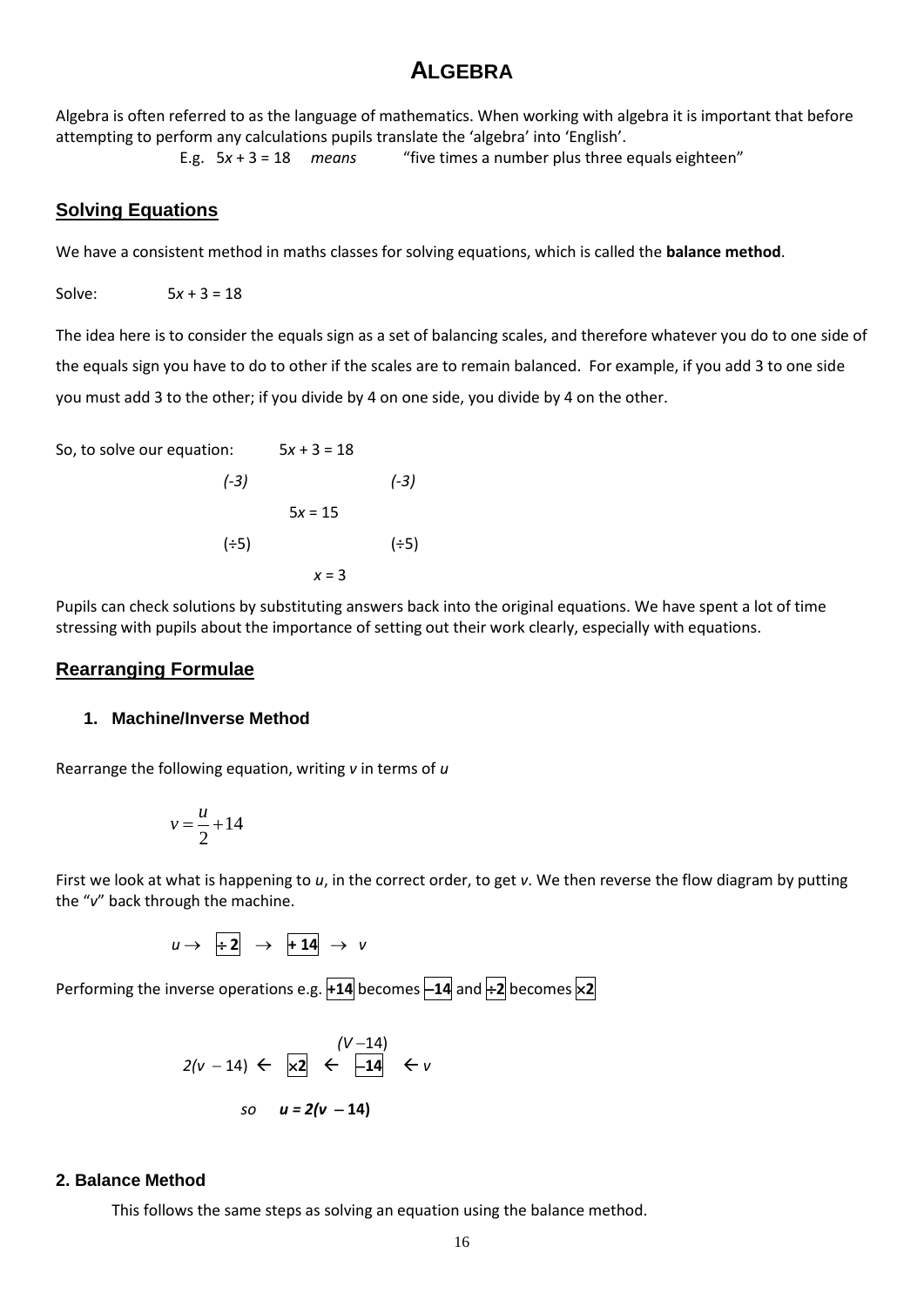# **ALGEBRA**

Algebra is often referred to as the language of mathematics. When working with algebra it is important that before attempting to perform any calculations pupils translate the 'algebra' into 'English'.

E.g. 5*x* + 3 = 18 *means* "five times a number plus three equals eighteen"

## **Solving Equations**

We have a consistent method in maths classes for solving equations, which is called the **balance method**.

Solve:  $5x + 3 = 18$ 

The idea here is to consider the equals sign as a set of balancing scales, and therefore whatever you do to one side of the equals sign you have to do to other if the scales are to remain balanced. For example, if you add 3 to one side you must add 3 to the other; if you divide by 4 on one side, you divide by 4 on the other.

So, to solve our equation: 
$$
5x + 3 = 18
$$
   
\n(-3)  $(-3)$   $(-3)$   
\n $5x = 15$   $(\div 5)$   $x = 3$ 

Pupils can check solutions by substituting answers back into the original equations. We have spent a lot of time stressing with pupils about the importance of setting out their work clearly, especially with equations.

#### **Rearranging Formulae**

#### **1. Machine/Inverse Method**

Rearrange the following equation, writing *v* in terms of *u*

$$
v = \frac{u}{2} + 14
$$

First we look at what is happening to *u*, in the correct order, to get *v*. We then reverse the flow diagram by putting the "*v*" back through the machine.

 $u \rightarrow \pm 2 \rightarrow \pm 14 \rightarrow v$ 

Performing the inverse operations e.g.  $+14$  becomes  $-14$  and  $\div 2$  becomes  $\times 2$ 

$$
2(v - 14) \leftarrow \begin{array}{c} (V - 14) \\ \times 2 \end{array} \leftarrow \begin{array}{c} (V - 14) \\ \leftarrow 14 \end{array} \leftarrow v \\ so \quad u = 2(v - 14)
$$

#### **2. Balance Method**

This follows the same steps as solving an equation using the balance method.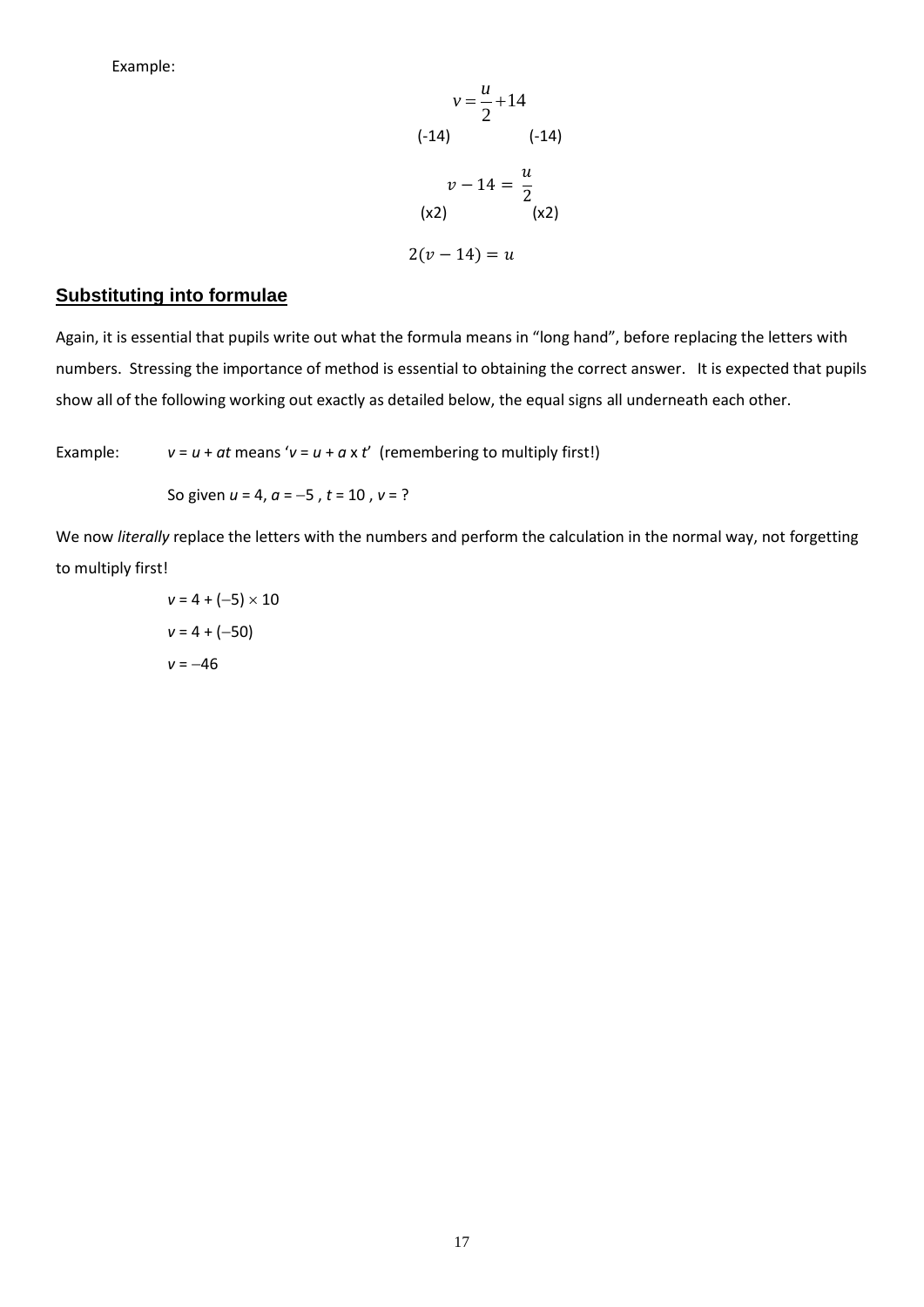Example:

$$
v = \frac{u}{2} + 14
$$
  
(-14)  

$$
v - 14 = \frac{u}{2}
$$
  
(x2)  

$$
2(v - 14) = u
$$

#### **Substituting into formulae**

Again, it is essential that pupils write out what the formula means in "long hand", before replacing the letters with numbers. Stressing the importance of method is essential to obtaining the correct answer. It is expected that pupils show all of the following working out exactly as detailed below, the equal signs all underneath each other.

Example:  $v = u + at$  means ' $v = u + a \times t'$  (remembering to multiply first!)

So given  $u = 4$ ,  $a = -5$ ,  $t = 10$ ,  $v = ?$ 

We now *literally* replace the letters with the numbers and perform the calculation in the normal way, not forgetting to multiply first!

> $v = 4 + (-5) \times 10$  $v = 4 + (-50)$  $v = -46$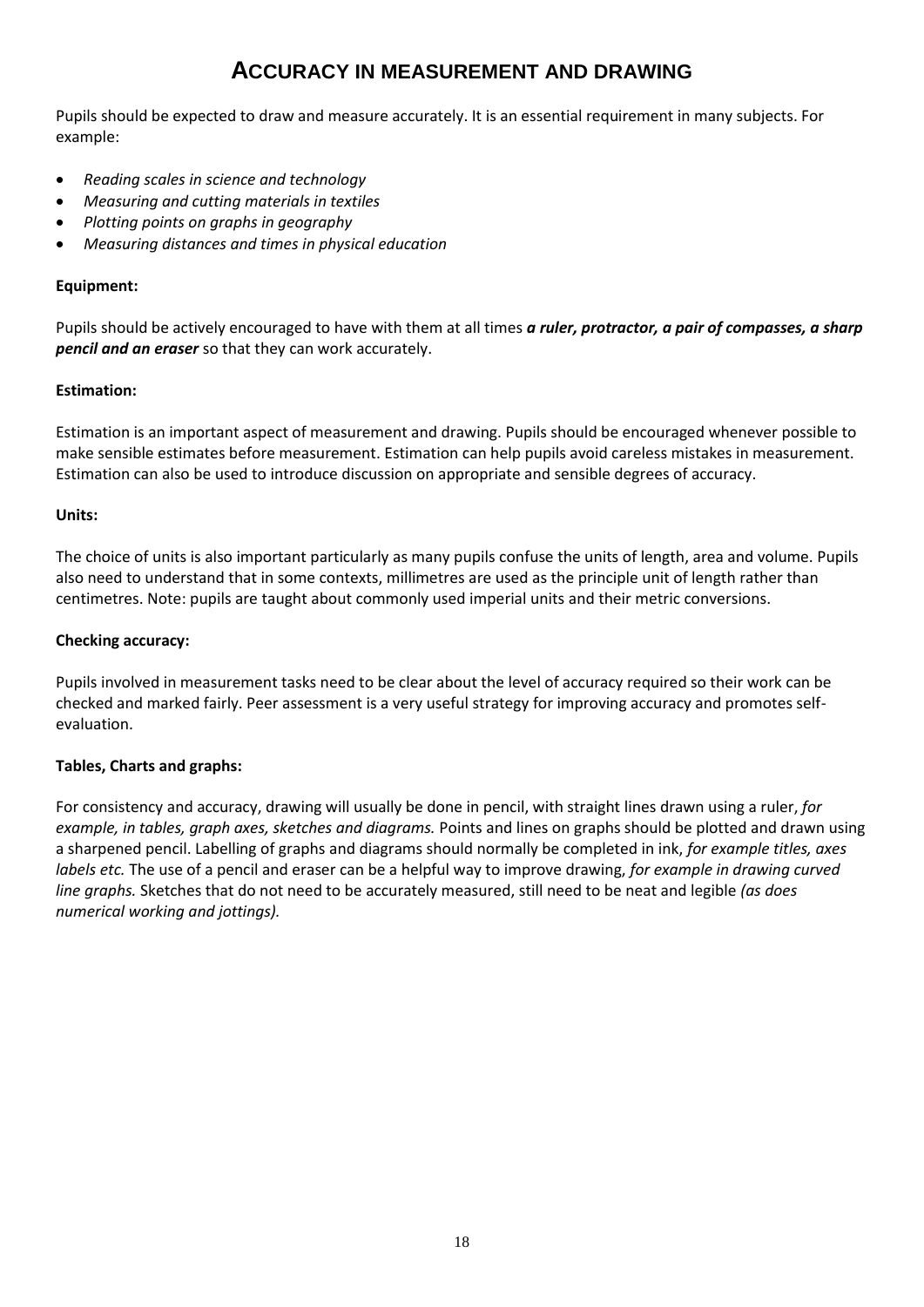# **ACCURACY IN MEASUREMENT AND DRAWING**

Pupils should be expected to draw and measure accurately. It is an essential requirement in many subjects. For example:

- *Reading scales in science and technology*
- *Measuring and cutting materials in textiles*
- *Plotting points on graphs in geography*
- *Measuring distances and times in physical education*

#### **Equipment:**

Pupils should be actively encouraged to have with them at all times *a ruler, protractor, a pair of compasses, a sharp pencil and an eraser* so that they can work accurately.

#### **Estimation:**

Estimation is an important aspect of measurement and drawing. Pupils should be encouraged whenever possible to make sensible estimates before measurement. Estimation can help pupils avoid careless mistakes in measurement. Estimation can also be used to introduce discussion on appropriate and sensible degrees of accuracy.

#### **Units:**

The choice of units is also important particularly as many pupils confuse the units of length, area and volume. Pupils also need to understand that in some contexts, millimetres are used as the principle unit of length rather than centimetres. Note: pupils are taught about commonly used imperial units and their metric conversions.

#### **Checking accuracy:**

Pupils involved in measurement tasks need to be clear about the level of accuracy required so their work can be checked and marked fairly. Peer assessment is a very useful strategy for improving accuracy and promotes selfevaluation.

## **Tables, Charts and graphs:**

For consistency and accuracy, drawing will usually be done in pencil, with straight lines drawn using a ruler, *for example, in tables, graph axes, sketches and diagrams.* Points and lines on graphs should be plotted and drawn using a sharpened pencil. Labelling of graphs and diagrams should normally be completed in ink, *for example titles, axes labels etc.* The use of a pencil and eraser can be a helpful way to improve drawing, *for example in drawing curved line graphs.* Sketches that do not need to be accurately measured, still need to be neat and legible *(as does numerical working and jottings).*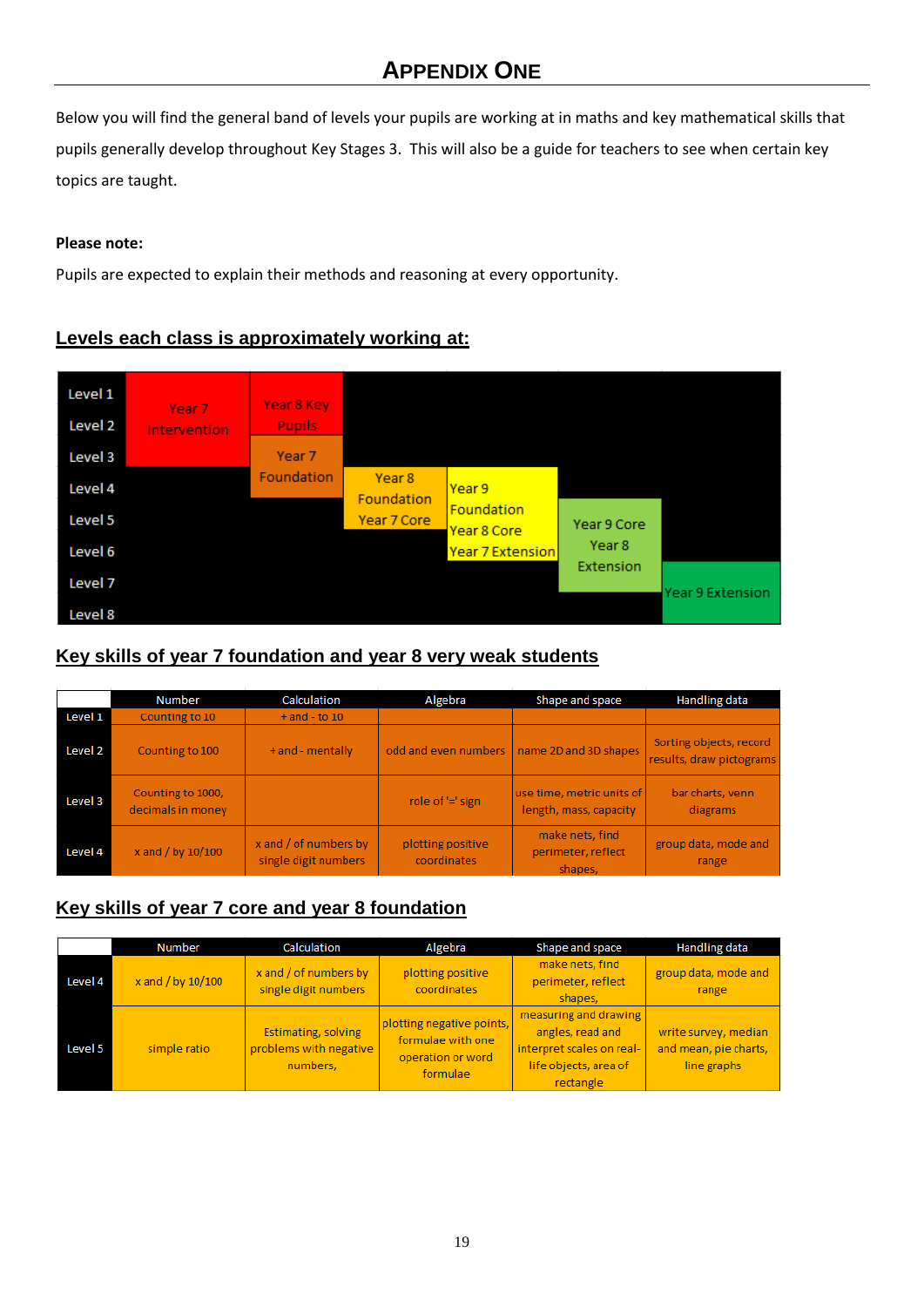# **APPENDIX ONE**

Below you will find the general band of levels your pupils are working at in maths and key mathematical skills that pupils generally develop throughout Key Stages 3. This will also be a guide for teachers to see when certain key topics are taught.

## **Please note:**

Pupils are expected to explain their methods and reasoning at every opportunity.

# **Levels each class is approximately working at:**



## **Key skills of year 7 foundation and year 8 very weak students**

|         | <b>Number</b>                          | Calculation                                   | Algebra                          | Shape and space                                     | <b>Handling data</b>                                |
|---------|----------------------------------------|-----------------------------------------------|----------------------------------|-----------------------------------------------------|-----------------------------------------------------|
| Level 1 | Counting to 10                         | $+$ and $-$ to 10                             |                                  |                                                     |                                                     |
| Level 2 | Counting to 100                        | + and - mentally                              |                                  | odd and even numbers   name 2D and 3D shapes        | Sorting objects, record<br>results, draw pictograms |
| Level 3 | Counting to 1000,<br>decimals in money |                                               | role of '=' sign                 | use time, metric units of<br>length, mass, capacity | bar charts, venn<br>diagrams                        |
| Level 4 | x and / by 10/100                      | x and / of numbers by<br>single digit numbers | plotting positive<br>coordinates | make nets, find<br>perimeter, reflect<br>shapes.    | group data, mode and<br>range                       |

# **Key skills of year 7 core and year 8 foundation**

|         | <b>Number</b>       | Calculation                                                      | Algebra                                                                         | Shape and space                                                                                              | <b>Handling data</b>                                         |
|---------|---------------------|------------------------------------------------------------------|---------------------------------------------------------------------------------|--------------------------------------------------------------------------------------------------------------|--------------------------------------------------------------|
| Level 4 | x and $/$ by 10/100 | $x$ and $/$ of numbers by<br>single digit numbers                | plotting positive<br>coordinates                                                | make nets, find<br>perimeter, reflect<br>shapes,                                                             | group data, mode and<br>range                                |
| Level 5 | simple ratio        | <b>Estimating, solving</b><br>problems with negative<br>numbers, | plotting negative points,<br>formulae with one<br>operation or word<br>formulae | measuring and drawing<br>angles, read and<br>interpret scales on real-<br>life objects, area of<br>rectangle | write survey, median<br>and mean, pie charts,<br>line graphs |